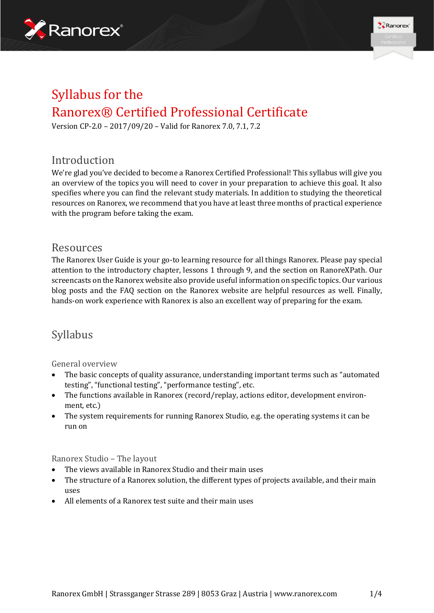



# Syllabus for the Ranorex® Certified Professional Certificate

Version CP-2.0 – 2017/09/20 – Valid for Ranorex 7.0, 7.1, 7.2

### Introduction

We're glad you've decided to become a Ranorex Certified Professional! This syllabus will give you an overview of the topics you will need to cover in your preparation to achieve this goal. It also specifies where you can find the relevant study materials. In addition to studying the theoretical resources on Ranorex, we recommend that you have at least three months of practical experience with the program before taking the exam.

### Resources

The Ranorex User Guide is your go-to learning resource for all things Ranorex. Please pay special attention to the introductory chapter, lessons 1 through 9, and the section on RanoreXPath. Our screencasts on the Ranorex website also provide useful information on specific topics. Our various blog posts and the FAQ section on the Ranorex website are helpful resources as well. Finally, hands-on work experience with Ranorex is also an excellent way of preparing for the exam.

## Syllabus

#### General overview

- The basic concepts of quality assurance, understanding important terms such as "automated testing", "functional testing", "performance testing", etc.
- The functions available in Ranorex (record/replay, actions editor, development environment, etc.)
- The system requirements for running Ranorex Studio, e.g. the operating systems it can be run on

Ranorex Studio – The layout

- The views available in Ranorex Studio and their main uses
- The structure of a Ranorex solution, the different types of projects available, and their main uses
- All elements of a Ranorex test suite and their main uses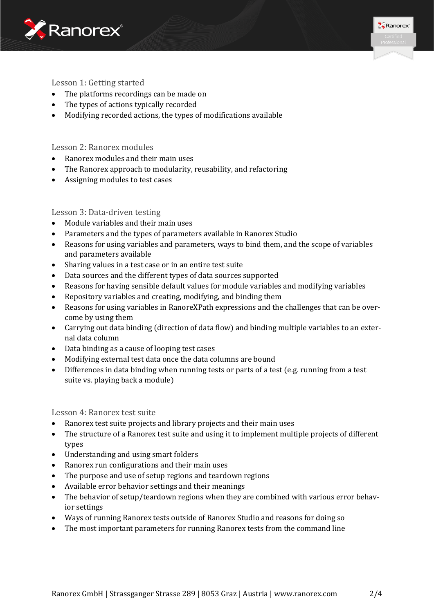



#### Lesson 1: Getting started

- The platforms recordings can be made on
- The types of actions typically recorded
- Modifying recorded actions, the types of modifications available

#### Lesson 2: Ranorex modules

- Ranorex modules and their main uses
- The Ranorex approach to modularity, reusability, and refactoring
- Assigning modules to test cases

#### Lesson 3: Data-driven testing

- Module variables and their main uses
- Parameters and the types of parameters available in Ranorex Studio
- Reasons for using variables and parameters, ways to bind them, and the scope of variables and parameters available
- Sharing values in a test case or in an entire test suite
- Data sources and the different types of data sources supported
- Reasons for having sensible default values for module variables and modifying variables
- Repository variables and creating, modifying, and binding them
- Reasons for using variables in RanoreXPath expressions and the challenges that can be overcome by using them
- Carrying out data binding (direction of data flow) and binding multiple variables to an external data column
- Data binding as a cause of looping test cases
- Modifying external test data once the data columns are bound
- Differences in data binding when running tests or parts of a test (e.g. running from a test suite vs. playing back a module)

Lesson 4: Ranorex test suite

- Ranorex test suite projects and library projects and their main uses
- The structure of a Ranorex test suite and using it to implement multiple projects of different types
- Understanding and using smart folders
- Ranorex run configurations and their main uses
- The purpose and use of setup regions and teardown regions
- Available error behavior settings and their meanings
- The behavior of setup/teardown regions when they are combined with various error behavior settings
- Ways of running Ranorex tests outside of Ranorex Studio and reasons for doing so
- The most important parameters for running Ranorex tests from the command line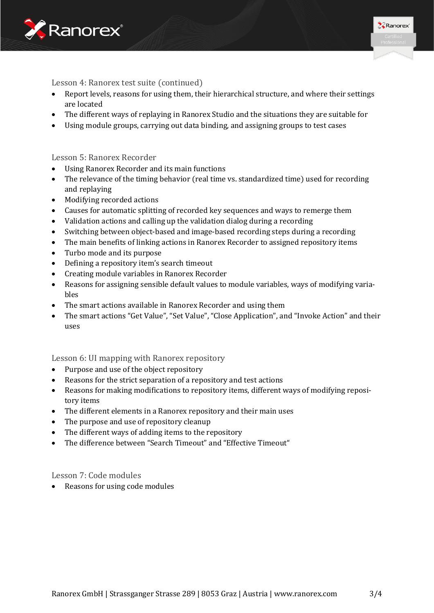



Lesson 4: Ranorex test suite (continued)

- Report levels, reasons for using them, their hierarchical structure, and where their settings are located
- The different ways of replaying in Ranorex Studio and the situations they are suitable for
- Using module groups, carrying out data binding, and assigning groups to test cases

#### Lesson 5: Ranorex Recorder

- Using Ranorex Recorder and its main functions
- The relevance of the timing behavior (real time vs. standardized time) used for recording and replaying
- Modifying recorded actions
- Causes for automatic splitting of recorded key sequences and ways to remerge them
- Validation actions and calling up the validation dialog during a recording
- Switching between object-based and image-based recording steps during a recording
- The main benefits of linking actions in Ranorex Recorder to assigned repository items
- Turbo mode and its purpose
- Defining a repository item's search timeout
- Creating module variables in Ranorex Recorder
- Reasons for assigning sensible default values to module variables, ways of modifying variables
- The smart actions available in Ranorex Recorder and using them
- The smart actions "Get Value", "Set Value", "Close Application", and "Invoke Action" and their uses

#### Lesson 6: UI mapping with Ranorex repository

- Purpose and use of the object repository
- Reasons for the strict separation of a repository and test actions
- Reasons for making modifications to repository items, different ways of modifying repository items
- The different elements in a Ranorex repository and their main uses
- The purpose and use of repository cleanup
- The different ways of adding items to the repository
- The difference between "Search Timeout" and "Effective Timeout"

#### Lesson 7: Code modules

• Reasons for using code modules